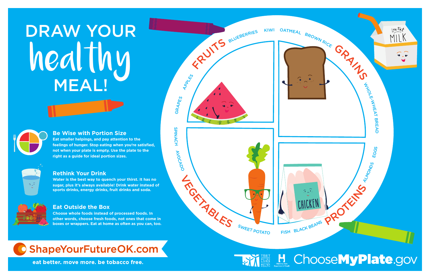#### **Be Wise with Portion Size**

**Eat smaller helpings, and pay attention to the feelings of hunger. Stop eating when you're satisfied, not when your plate is empty. Use the plate to the right as a guide for ideal portion sizes.**



#### **Rethink Your Drink**

**Water is the best way to quench your thirst. It has no sugar, plus it's always available! Drink water instead of sports drinks, energy drinks, fruit drinks and soda.**



#### **Eat Outside the Box**

**Choose whole foods instead of processed foods. In other words, choose fresh foods, not ones that come in boxes or wrappers. Eat at home as often as you can, too.**



eat better, move more, be tobacco free.

# DRAW YOUR weal lung MEAL!